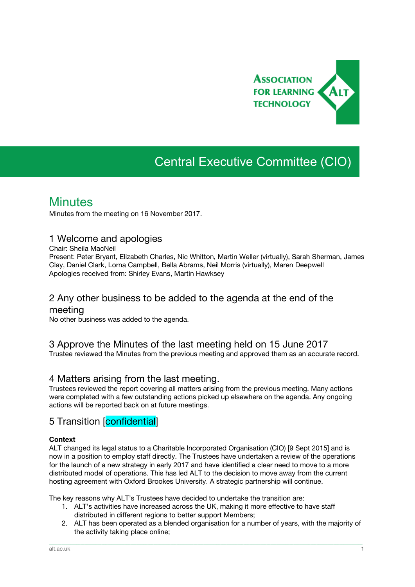

# Central Executive Committee (CIO)

## **Minutes**

Minutes from the meeting on 16 November 2017.

## 1 Welcome and apologies

Chair: Sheila MacNeil

Present: Peter Bryant, Elizabeth Charles, Nic Whitton, Martin Weller (virtually), Sarah Sherman, James Clay, Daniel Clark, Lorna Campbell, Bella Abrams, Neil Morris (virtually), Maren Deepwell Apologies received from: Shirley Evans, Martin Hawksey

## 2 Any other business to be added to the agenda at the end of the

#### meeting

No other business was added to the agenda.

### 3 Approve the Minutes of the last meeting held on 15 June 2017

Trustee reviewed the Minutes from the previous meeting and approved them as an accurate record.

### 4 Matters arising from the last meeting.

Trustees reviewed the report covering all matters arising from the previous meeting. Many actions were completed with a few outstanding actions picked up elsewhere on the agenda. Any ongoing actions will be reported back on at future meetings.

## 5 Transition [confidential]

#### **Context**

ALT changed its legal status to a Charitable Incorporated Organisation (CIO) [9 Sept 2015] and is now in a position to employ staff directly. The Trustees have undertaken a review of the operations for the launch of a new strategy in early 2017 and have identified a clear need to move to a more distributed model of operations. This has led ALT to the decision to move away from the current hosting agreement with Oxford Brookes University. A strategic partnership will continue.

The key reasons why ALT's Trustees have decided to undertake the transition are:

- 1. ALT's activities have increased across the UK, making it more effective to have staff distributed in different regions to better support Members;
- 2. ALT has been operated as a blended organisation for a number of years, with the majority of the activity taking place online;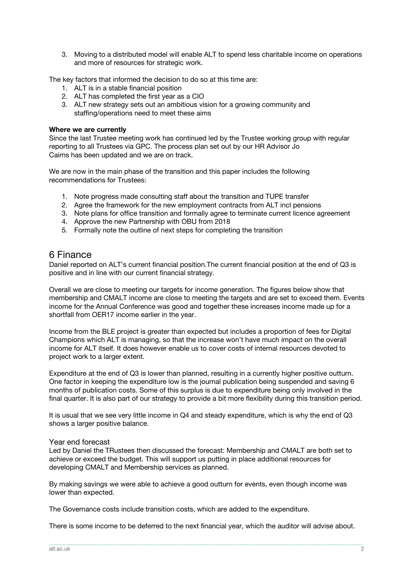3. Moving to a distributed model will enable ALT to spend less charitable income on operations and more of resources for strategic work.

The key factors that informed the decision to do so at this time are:

- 1. ALT is in a stable financial position
- 2. ALT has completed the first year as a CIO
- 3. ALT new strategy sets out an ambitious vision for a growing community and staffing/operations need to meet these aims

#### **Where we are currently**

Since the last Trustee meeting work has continued led by the Trustee working group with regular reporting to all Trustees via GPC. The process plan set out by our HR Advisor Jo Cairns has been updated and we are on track.

We are now in the main phase of the transition and this paper includes the following recommendations for Trustees:

- 1. Note progress made consulting staff about the transition and TUPE transfer
- 2. Agree the framework for the new employment contracts from ALT incl pensions
- 3. Note plans for office transition and formally agree to terminate current licence agreement
- 4. Approve the new Partnership with OBU from 2018
- 5. Formally note the outline of next steps for completing the transition

#### 6 Finance

Daniel reported on ALT's current financial position.The current financial position at the end of Q3 is positive and in line with our current financial strategy.

Overall we are close to meeting our targets for income generation. The figures below show that membership and CMALT income are close to meeting the targets and are set to exceed them. Events income for the Annual Conference was good and together these increases income made up for a shortfall from OER17 income earlier in the year.

Income from the BLE project is greater than expected but includes a proportion of fees for Digital Champions which ALT is managing, so that the increase won't have much impact on the overall income for ALT itself. It does however enable us to cover costs of internal resources devoted to project work to a larger extent.

Expenditure at the end of Q3 is lower than planned, resulting in a currently higher positive outturn. One factor in keeping the expenditure low is the journal publication being suspended and saving 6 months of publication costs. Some of this surplus is due to expenditure being only involved in the final quarter. It is also part of our strategy to provide a bit more flexibility during this transition period.

It is usual that we see very little income in Q4 and steady expenditure, which is why the end of Q3 shows a larger positive balance.

#### Year end forecast

Led by Daniel the TRustees then discussed the forecast: Membership and CMALT are both set to achieve or exceed the budget. This will support us putting in place additional resources for developing CMALT and Membership services as planned.

By making savings we were able to achieve a good outturn for events, even though income was lower than expected.

The Governance costs include transition costs, which are added to the expenditure.

There is some income to be deferred to the next financial year, which the auditor will advise about.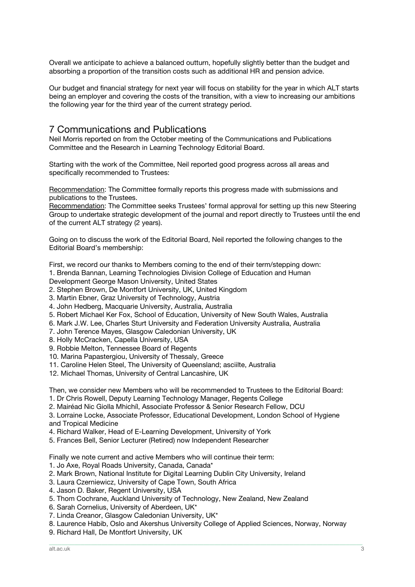Overall we anticipate to achieve a balanced outturn, hopefully slightly better than the budget and absorbing a proportion of the transition costs such as additional HR and pension advice.

Our budget and financial strategy for next year will focus on stability for the year in which ALT starts being an employer and covering the costs of the transition, with a view to increasing our ambitions the following year for the third year of the current strategy period.

## 7 Communications and Publications

Neil Morris reported on from the October meeting of the Communications and Publications Committee and the Research in Learning Technology Editorial Board.

Starting with the work of the Committee, Neil reported good progress across all areas and specifically recommended to Trustees:

Recommendation: The Committee formally reports this progress made with submissions and publications to the Trustees.

Recommendation: The Committee seeks Trustees' formal approval for setting up this new Steering Group to undertake strategic development of the journal and report directly to Trustees until the end of the current ALT strategy (2 years).

Going on to discuss the work of the Editorial Board, Neil reported the following changes to the Editorial Board's membership:

First, we record our thanks to Members coming to the end of their term/stepping down:

1. Brenda Bannan, Learning Technologies Division College of Education and Human

Development George Mason University, United States

2. Stephen Brown, De Montfort University, UK, United Kingdom

3. Martin Ebner, Graz University of Technology, Austria

- 4. John Hedberg, Macquarie University, Australia, Australia
- 5. Robert Michael Ker Fox, School of Education, University of New South Wales, Australia
- 6. Mark J.W. Lee, Charles Sturt University and Federation University Australia, Australia

7. John Terence Mayes, Glasgow Caledonian University, UK

8. Holly McCracken, Capella University, USA

- 9. Robbie Melton, Tennessee Board of Regents
- 10. Marina Papastergiou, University of Thessaly, Greece
- 11. Caroline Helen Steel, The University of Queensland; asciilte, Australia
- 12. Michael Thomas, University of Central Lancashire, UK

Then, we consider new Members who will be recommended to Trustees to the Editorial Board:

- 1. Dr Chris Rowell, Deputy Learning Technology Manager, Regents College
- 2. Mairéad Nic Giolla Mhichíl, Associate Professor & Senior Research Fellow, DCU

3. Lorraine Locke, Associate Professor, Educational Development, London School of Hygiene and Tropical Medicine

4. Richard Walker, Head of E-Learning Development, University of York

5. Frances Bell, Senior Lecturer (Retired) now Independent Researcher

Finally we note current and active Members who will continue their term:

- 1. Jo Axe, Royal Roads University, Canada, Canada\*
- 2. Mark Brown, National Institute for Digital Learning Dublin City University, Ireland
- 3. Laura Czerniewicz, University of Cape Town, South Africa
- 4. Jason D. Baker, Regent University, USA
- 5. Thom Cochrane, Auckland University of Technology, New Zealand, New Zealand
- 6. Sarah Cornelius, University of Aberdeen, UK\*
- 7. Linda Creanor, Glasgow Caledonian University, UK\*
- 8. Laurence Habib, Oslo and Akershus University College of Applied Sciences, Norway, Norway

\_\_\_\_\_\_\_\_\_\_\_\_\_\_\_\_\_\_\_\_\_\_\_\_\_\_\_\_\_\_\_\_\_\_\_\_\_\_\_\_\_\_\_\_\_\_\_\_\_\_\_\_\_\_\_\_\_\_\_\_\_\_\_\_\_\_\_\_\_\_\_\_\_\_\_\_\_\_\_\_\_\_\_\_\_\_\_\_\_\_\_\_\_\_\_\_\_\_\_\_\_\_\_\_\_\_\_\_\_\_\_\_\_\_\_\_\_\_\_\_\_\_\_\_\_\_\_\_\_\_\_\_\_\_\_\_\_\_\_\_\_\_\_\_\_\_\_\_\_\_

9. Richard Hall, De Montfort University, UK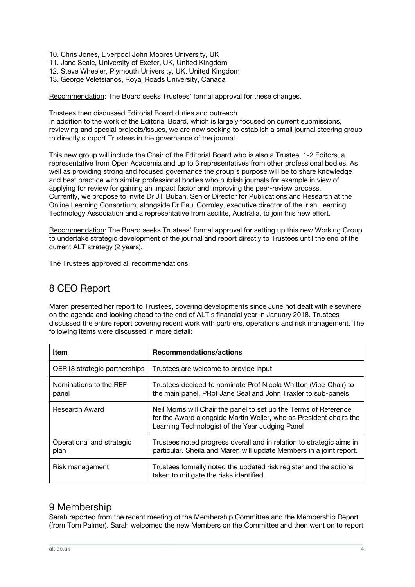- 10. Chris Jones, Liverpool John Moores University, UK
- 11. Jane Seale, University of Exeter, UK, United Kingdom
- 12. Steve Wheeler, Plymouth University, UK, United Kingdom
- 13. George Veletsianos, Royal Roads University, Canada

Recommendation: The Board seeks Trustees' formal approval for these changes.

Trustees then discussed Editorial Board duties and outreach

In addition to the work of the Editorial Board, which is largely focused on current submissions, reviewing and special projects/issues, we are now seeking to establish a small journal steering group to directly support Trustees in the governance of the journal.

This new group will include the Chair of the Editorial Board who is also a Trustee, 1-2 Editors, a representative from Open Academia and up to 3 representatives from other professional bodies. As well as providing strong and focused governance the group's purpose will be to share knowledge and best practice with similar professional bodies who publish journals for example in view of applying for review for gaining an impact factor and improving the peer-review process. Currently, we propose to invite Dr Jill Buban, Senior Director for Publications and Research at the Online Learning Consortium, alongside Dr Paul Gormley, executive director of the Irish Learning Technology Association and a representative from ascilite, Australia, to join this new effort.

Recommendation: The Board seeks Trustees' formal approval for setting up this new Working Group to undertake strategic development of the journal and report directly to Trustees until the end of the current ALT strategy (2 years).

The Trustees approved all recommendations.

## 8 CEO Report

Maren presented her report to Trustees, covering developments since June not dealt with elsewhere on the agenda and looking ahead to the end of ALT's financial year in January 2018. Trustees discussed the entire report covering recent work with partners, operations and risk management. The following items were discussed in more detail:

| Item                              | <b>Recommendations/actions</b>                                                                                                                                                             |
|-----------------------------------|--------------------------------------------------------------------------------------------------------------------------------------------------------------------------------------------|
| OER18 strategic partnerships      | Trustees are welcome to provide input                                                                                                                                                      |
| Nominations to the REF<br>panel   | Trustees decided to nominate Prof Nicola Whitton (Vice-Chair) to<br>the main panel, PRof Jane Seal and John Traxler to sub-panels                                                          |
| <b>Research Award</b>             | Neil Morris will Chair the panel to set up the Terms of Reference<br>for the Award alongside Martin Weller, who as President chairs the<br>Learning Technologist of the Year Judging Panel |
| Operational and strategic<br>plan | Trustees noted progress overall and in relation to strategic aims in<br>particular. Sheila and Maren will update Members in a joint report.                                                |
| Risk management                   | Trustees formally noted the updated risk register and the actions<br>taken to mitigate the risks identified.                                                                               |

## 9 Membership

Sarah reported from the recent meeting of the Membership Committee and the Membership Report (from Tom Palmer). Sarah welcomed the new Members on the Committee and then went on to report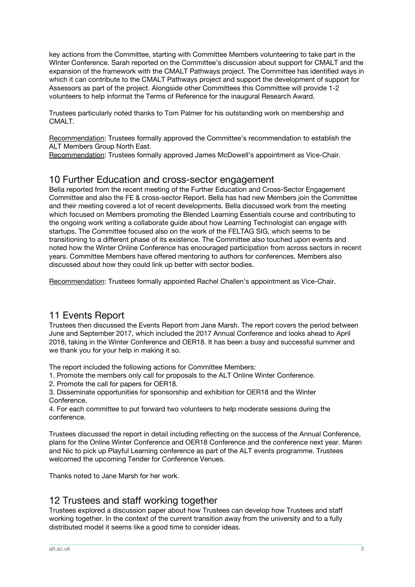key actions from the Committee, starting with Committee Members volunteering to take part in the WInter Conference. Sarah reported on the Committee's discussion about support for CMALT and the expansion of the framework with the CMALT Pathways project. The Committee has identified ways in which it can contribute to the CMALT Pathways project and support the development of support for Assessors as part of the project. Alongside other Committees this Committee will provide 1-2 volunteers to help informat the Terms of Reference for the inaugural Research Award.

Trustees particularly noted thanks to Tom Palmer for his outstanding work on membership and CMALT.

Recommendation: Trustees formally approved the Committee's recommendation to establish the ALT Members Group North East.

Recommendation: Trustees formally approved James McDowell's appointment as Vice-Chair.

## 10 Further Education and cross-sector engagement

Bella reported from the recent meeting of the Further Education and Cross-Sector Engagement Committee and also the FE & cross-sector Report. Bella has had new Members join the Committee and their meeting covered a lot of recent developments. Bella discussed work from the meeting which focused on Members promoting the Blended Learning Essentials course and contributing to the ongoing work writing a collaborate guide about how Learning Technologist can engage with startups. The Committee focused also on the work of the FELTAG SIG, which seems to be transitioning to a different phase of its existence. The Committee also touched upon events and noted how the Winter Online Conference has encouraged participation from across sectors in recent years. Committee Members have offered mentoring to authors for conferences. Members also discussed about how they could link up better with sector bodies.

Recommendation: Trustees formally appointed Rachel Challen's appointment as Vice-Chair.

## 11 Events Report

Trustees then discussed the Events Report from Jane Marsh. The report covers the period between June and September 2017, which included the 2017 Annual Conference and looks ahead to April 2018, taking in the Winter Conference and OER18. It has been a busy and successful summer and we thank you for your help in making it so.

The report included the following actions for Committee Members:

1. Promote the members only call for proposals to the ALT Online Winter Conference.

2. Promote the call for papers for OER18.

3. Disseminate opportunities for sponsorship and exhibition for OER18 and the Winter Conference.

4. For each committee to put forward two volunteers to help moderate sessions during the conference.

Trustees discussed the report in detail including reflecting on the success of the Annual Conference, plans for the Online Winter Conference and OER18 Conference and the conference next year. Maren and Nic to pick up Playful Learning conference as part of the ALT events programme. Trustees welcomed the upcoming Tender for Conference Venues.

Thanks noted to Jane Marsh for her work.

## 12 Trustees and staff working together

Trustees explored a discussion paper about how Trustees can develop how Trustees and staff working together. In the context of the current transition away from the university and to a fully distributed model it seems like a good time to consider ideas.